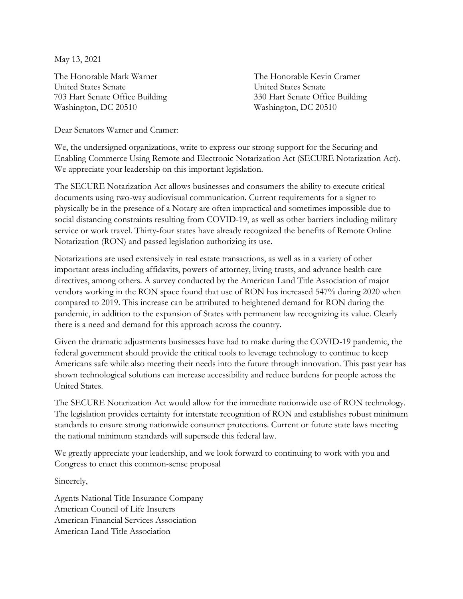May 13, 2021

The Honorable Mark Warner United States Senate 703 Hart Senate Office Building Washington, DC 20510

The Honorable Kevin Cramer United States Senate 330 Hart Senate Office Building Washington, DC 20510

Dear Senators Warner and Cramer:

We, the undersigned organizations, write to express our strong support for the Securing and Enabling Commerce Using Remote and Electronic Notarization Act (SECURE Notarization Act). We appreciate your leadership on this important legislation.

The SECURE Notarization Act allows businesses and consumers the ability to execute critical documents using two-way audiovisual communication. Current requirements for a signer to physically be in the presence of a Notary are often impractical and sometimes impossible due to social distancing constraints resulting from COVID-19, as well as other barriers including military service or work travel. Thirty-four states have already recognized the benefits of Remote Online Notarization (RON) and passed legislation authorizing its use.

Notarizations are used extensively in real estate transactions, as well as in a variety of other important areas including affidavits, powers of attorney, living trusts, and advance health care directives, among others. A survey conducted by the American Land Title Association of major vendors working in the RON space found that use of RON has increased 547% during 2020 when compared to 2019. This increase can be attributed to heightened demand for RON during the pandemic, in addition to the expansion of States with permanent law recognizing its value. Clearly there is a need and demand for this approach across the country.

Given the dramatic adjustments businesses have had to make during the COVID-19 pandemic, the federal government should provide the critical tools to leverage technology to continue to keep Americans safe while also meeting their needs into the future through innovation. This past year has shown technological solutions can increase accessibility and reduce burdens for people across the United States.

The SECURE Notarization Act would allow for the immediate nationwide use of RON technology. The legislation provides certainty for interstate recognition of RON and establishes robust minimum standards to ensure strong nationwide consumer protections. Current or future state laws meeting the national minimum standards will supersede this federal law.

We greatly appreciate your leadership, and we look forward to continuing to work with you and Congress to enact this common-sense proposal

Sincerely,

Agents National Title Insurance Company American Council of Life Insurers American Financial Services Association American Land Title Association